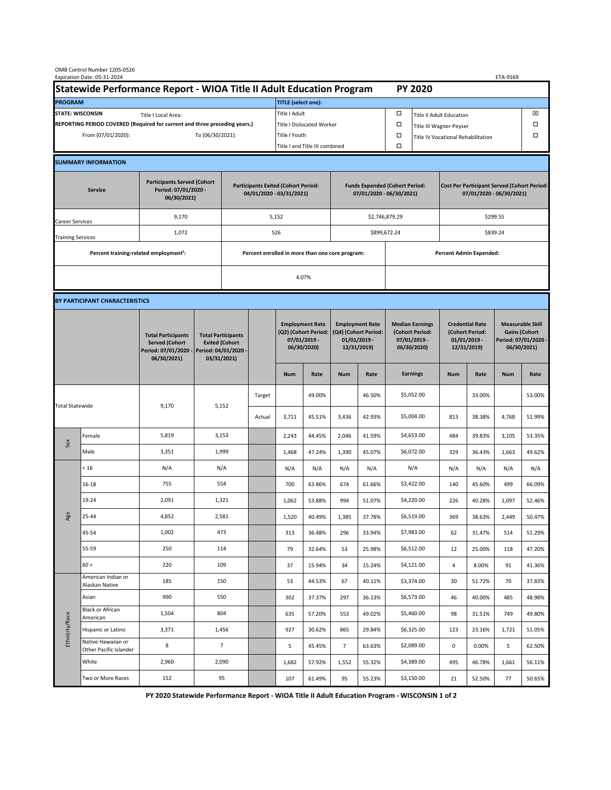| Statewide Performance Report - WIOA Title II Adult Education Program<br><b>PY 2020</b><br><b>PROGRAM</b><br><b>TITLE</b> (select one):<br><b>STATE: WISCONSIN</b><br>Title I Adult<br>□<br>⊠<br><b>Title II Adult Education</b><br>Title I Local Area:<br>REPORTING PERIOD COVERED (Required for current and three preceding years.)<br>Title I Dislocated Worker<br>Ω<br>□<br>Title III Wagner-Peyser<br>$\Box$<br>To (06/30/2021):<br>□<br>From (07/01/2020):<br>Title I Youth<br>Title IV Vocational Rehabilitation<br>Title I and Title III combined<br>Ω<br><b>SUMMARY INFORMATION</b><br><b>Participants Served (Cohort</b><br><b>Participants Exited (Cohort Period:</b><br><b>Funds Expended (Cohort Period:</b><br><b>Cost Per Participant Served (Cohort Period:</b><br>Period: 07/01/2020 -<br><b>Service</b><br>04/01/2020 - 03/31/2021)<br>07/01/2020 - 06/30/2021)<br>07/01/2020 - 06/30/2021)<br>06/30/2021)<br>9,170<br>\$2,746,879.29<br>\$299.55<br>5,152<br>Career Services<br>1,072<br>526<br>\$899,672.24<br>\$839.24<br><b>Training Services</b><br>Percent training-related employment <sup>1</sup> :<br>Percent enrolled in more than one core program:<br><b>Percent Admin Expended:</b><br>4.07%<br>BY PARTICIPANT CHARACTERISTICS<br><b>Employment Rate</b><br><b>Employment Rate</b><br><b>Median Earnings</b><br><b>Credential Rate</b><br>(Q2) (Cohort Period:<br>(Q4) (Cohort Period:<br>(Cohort Period:<br>(Cohort Period:<br><b>Gains (Cohort</b><br><b>Total Participants</b><br><b>Total Participants</b><br>07/01/2019 -<br>$01/01/2019$ -<br>$07/01/2019 -$<br>$01/01/2019$ -<br><b>Served (Cohort</b><br><b>Exited (Cohort</b><br>06/30/2020)<br>12/31/2019)<br>06/30/2020)<br>12/31/2019)<br>06/30/2021)<br>Period: 04/01/2020 -<br>Period: 07/01/2020 -<br>06/30/2021)<br>03/31/2021)<br><b>Earnings</b><br><b>Num</b><br><b>Num</b><br>Rate<br><b>Num</b><br>Rate<br><b>Num</b><br>Rate<br>\$5,052.00<br>46.50%<br>33.00%<br>Target<br>49.00%<br>9,170<br>5,152<br><b>Total Statewide</b><br>\$5,004.00<br>3,711<br>45.51%<br>3,436<br>42.93%<br>813<br>38.38%<br>4,768<br>Actual<br>Female<br>5,819<br>\$4,653.00<br>3,153<br>2,243<br>44.45%<br>2,046<br>41.59%<br>39.83%<br>484<br>3,105<br>Sex<br>Male<br>3,351<br>1,999<br>\$6,072.00<br>1,468<br>47.24%<br>1,390<br>45.07%<br>329<br>36.43%<br>1,663<br>N/A<br>N/A<br>N/A<br>N/A<br>N/A<br>N/A<br>N/A<br>N/A<br>N/A<br>N/A<br>< 16<br>755<br>\$3,422.00<br>$16 - 18$<br>554<br>700<br>63.86%<br>674<br>61.66%<br>140<br>45.60%<br>499<br>19-24<br>\$4,220.00<br>2,091<br>1,321<br>1,062<br>53.88%<br>994<br>51.07%<br>226<br>40.28%<br>1,097<br>Age<br>25-44<br>4,852<br>2,581<br>1,520<br>40.49%<br>37.78%<br>\$6,519.00<br>38.63%<br>1,385<br>369<br>2,449<br>1,002<br>\$7,983.00<br>45-54<br>473<br>36.48%<br>313<br>296<br>33.94%<br>62<br>31.47%<br>514<br>250<br>114<br>\$6,512.00<br>55-59<br>79<br>32.64%<br>53<br>25.98%<br>12<br>25.00%<br>118<br>220<br>109<br>\$4,121.00<br>$60 +$<br>37<br>15.94%<br>34<br>15.24%<br>4<br>8.00%<br>91<br>American Indian or<br>\$3,374.00<br>185<br>150<br>53<br>44.53%<br>67<br>40.11%<br>30<br>51.72%<br>70<br>Alaskan Native<br>990<br>550<br>\$6,573.00<br>Asian<br>37.37%<br>36.13%<br>40.00%<br>302<br>297<br>46<br>485<br>Black or African<br>1,504<br>804<br>\$5,460.00<br>57.20%<br>49.02%<br>98<br>31.51%<br>49.80%<br>635<br>553<br>749<br>Ethnicity/Race<br>American<br>3,371<br>1,456<br>\$6,325.00<br>Hispanic or Latino<br>927<br>30.62%<br>865<br>29.84%<br>123<br>23.16%<br>51.05%<br>1,721<br>Native Hawaiian or<br>8<br>$\overline{7}$<br>\$2,089.00<br>5<br>45.45%<br>$\overline{7}$<br>63.63%<br>$\mathsf 0$<br>0.00%<br>5<br>Other Pacific Islander<br>White<br>2,090<br>\$4,389.00<br>2,960<br>1,682<br>57.92%<br>55.32%<br>495<br>46.78%<br>1,552<br>1,661<br>152<br>95<br>\$3,150.00<br>Two or More Races<br>61.49%<br>95<br>55.23%<br>21<br>52.50%<br>77<br>107 | OMB Control Number 1205-0526<br>Expiration Date: 05-31-2024<br>ETA-9169 |  |  |  |  |  |  |  |  |  |  |  |  |  |                                                 |        |  |  |
|---------------------------------------------------------------------------------------------------------------------------------------------------------------------------------------------------------------------------------------------------------------------------------------------------------------------------------------------------------------------------------------------------------------------------------------------------------------------------------------------------------------------------------------------------------------------------------------------------------------------------------------------------------------------------------------------------------------------------------------------------------------------------------------------------------------------------------------------------------------------------------------------------------------------------------------------------------------------------------------------------------------------------------------------------------------------------------------------------------------------------------------------------------------------------------------------------------------------------------------------------------------------------------------------------------------------------------------------------------------------------------------------------------------------------------------------------------------------------------------------------------------------------------------------------------------------------------------------------------------------------------------------------------------------------------------------------------------------------------------------------------------------------------------------------------------------------------------------------------------------------------------------------------------------------------------------------------------------------------------------------------------------------------------------------------------------------------------------------------------------------------------------------------------------------------------------------------------------------------------------------------------------------------------------------------------------------------------------------------------------------------------------------------------------------------------------------------------------------------------------------------------------------------------------------------------------------------------------------------------------------------------------------------------------------------------------------------------------------------------------------------------------------------------------------------------------------------------------------------------------------------------------------------------------------------------------------------------------------------------------------------------------------------------------------------------------------------------------------------------------------------------------------------------------------------------------------------------------------------------------------------------------------------------------------------------------------------------------------------------------------------------------------------------------------------------------------------------------------------------------------------------------------------------------------------------------------------------------------------------------------------------------------------------------------------------------------------------------------------------------------------------------------------------------------------------------------------------------------------------------------------------------------------------------------------------|-------------------------------------------------------------------------|--|--|--|--|--|--|--|--|--|--|--|--|--|-------------------------------------------------|--------|--|--|
|                                                                                                                                                                                                                                                                                                                                                                                                                                                                                                                                                                                                                                                                                                                                                                                                                                                                                                                                                                                                                                                                                                                                                                                                                                                                                                                                                                                                                                                                                                                                                                                                                                                                                                                                                                                                                                                                                                                                                                                                                                                                                                                                                                                                                                                                                                                                                                                                                                                                                                                                                                                                                                                                                                                                                                                                                                                                                                                                                                                                                                                                                                                                                                                                                                                                                                                                                                                                                                                                                                                                                                                                                                                                                                                                                                                                                                                                                                                                       |                                                                         |  |  |  |  |  |  |  |  |  |  |  |  |  |                                                 |        |  |  |
|                                                                                                                                                                                                                                                                                                                                                                                                                                                                                                                                                                                                                                                                                                                                                                                                                                                                                                                                                                                                                                                                                                                                                                                                                                                                                                                                                                                                                                                                                                                                                                                                                                                                                                                                                                                                                                                                                                                                                                                                                                                                                                                                                                                                                                                                                                                                                                                                                                                                                                                                                                                                                                                                                                                                                                                                                                                                                                                                                                                                                                                                                                                                                                                                                                                                                                                                                                                                                                                                                                                                                                                                                                                                                                                                                                                                                                                                                                                                       |                                                                         |  |  |  |  |  |  |  |  |  |  |  |  |  |                                                 |        |  |  |
|                                                                                                                                                                                                                                                                                                                                                                                                                                                                                                                                                                                                                                                                                                                                                                                                                                                                                                                                                                                                                                                                                                                                                                                                                                                                                                                                                                                                                                                                                                                                                                                                                                                                                                                                                                                                                                                                                                                                                                                                                                                                                                                                                                                                                                                                                                                                                                                                                                                                                                                                                                                                                                                                                                                                                                                                                                                                                                                                                                                                                                                                                                                                                                                                                                                                                                                                                                                                                                                                                                                                                                                                                                                                                                                                                                                                                                                                                                                                       |                                                                         |  |  |  |  |  |  |  |  |  |  |  |  |  |                                                 |        |  |  |
|                                                                                                                                                                                                                                                                                                                                                                                                                                                                                                                                                                                                                                                                                                                                                                                                                                                                                                                                                                                                                                                                                                                                                                                                                                                                                                                                                                                                                                                                                                                                                                                                                                                                                                                                                                                                                                                                                                                                                                                                                                                                                                                                                                                                                                                                                                                                                                                                                                                                                                                                                                                                                                                                                                                                                                                                                                                                                                                                                                                                                                                                                                                                                                                                                                                                                                                                                                                                                                                                                                                                                                                                                                                                                                                                                                                                                                                                                                                                       |                                                                         |  |  |  |  |  |  |  |  |  |  |  |  |  |                                                 |        |  |  |
|                                                                                                                                                                                                                                                                                                                                                                                                                                                                                                                                                                                                                                                                                                                                                                                                                                                                                                                                                                                                                                                                                                                                                                                                                                                                                                                                                                                                                                                                                                                                                                                                                                                                                                                                                                                                                                                                                                                                                                                                                                                                                                                                                                                                                                                                                                                                                                                                                                                                                                                                                                                                                                                                                                                                                                                                                                                                                                                                                                                                                                                                                                                                                                                                                                                                                                                                                                                                                                                                                                                                                                                                                                                                                                                                                                                                                                                                                                                                       |                                                                         |  |  |  |  |  |  |  |  |  |  |  |  |  |                                                 |        |  |  |
|                                                                                                                                                                                                                                                                                                                                                                                                                                                                                                                                                                                                                                                                                                                                                                                                                                                                                                                                                                                                                                                                                                                                                                                                                                                                                                                                                                                                                                                                                                                                                                                                                                                                                                                                                                                                                                                                                                                                                                                                                                                                                                                                                                                                                                                                                                                                                                                                                                                                                                                                                                                                                                                                                                                                                                                                                                                                                                                                                                                                                                                                                                                                                                                                                                                                                                                                                                                                                                                                                                                                                                                                                                                                                                                                                                                                                                                                                                                                       |                                                                         |  |  |  |  |  |  |  |  |  |  |  |  |  |                                                 |        |  |  |
|                                                                                                                                                                                                                                                                                                                                                                                                                                                                                                                                                                                                                                                                                                                                                                                                                                                                                                                                                                                                                                                                                                                                                                                                                                                                                                                                                                                                                                                                                                                                                                                                                                                                                                                                                                                                                                                                                                                                                                                                                                                                                                                                                                                                                                                                                                                                                                                                                                                                                                                                                                                                                                                                                                                                                                                                                                                                                                                                                                                                                                                                                                                                                                                                                                                                                                                                                                                                                                                                                                                                                                                                                                                                                                                                                                                                                                                                                                                                       |                                                                         |  |  |  |  |  |  |  |  |  |  |  |  |  |                                                 |        |  |  |
|                                                                                                                                                                                                                                                                                                                                                                                                                                                                                                                                                                                                                                                                                                                                                                                                                                                                                                                                                                                                                                                                                                                                                                                                                                                                                                                                                                                                                                                                                                                                                                                                                                                                                                                                                                                                                                                                                                                                                                                                                                                                                                                                                                                                                                                                                                                                                                                                                                                                                                                                                                                                                                                                                                                                                                                                                                                                                                                                                                                                                                                                                                                                                                                                                                                                                                                                                                                                                                                                                                                                                                                                                                                                                                                                                                                                                                                                                                                                       |                                                                         |  |  |  |  |  |  |  |  |  |  |  |  |  |                                                 |        |  |  |
|                                                                                                                                                                                                                                                                                                                                                                                                                                                                                                                                                                                                                                                                                                                                                                                                                                                                                                                                                                                                                                                                                                                                                                                                                                                                                                                                                                                                                                                                                                                                                                                                                                                                                                                                                                                                                                                                                                                                                                                                                                                                                                                                                                                                                                                                                                                                                                                                                                                                                                                                                                                                                                                                                                                                                                                                                                                                                                                                                                                                                                                                                                                                                                                                                                                                                                                                                                                                                                                                                                                                                                                                                                                                                                                                                                                                                                                                                                                                       |                                                                         |  |  |  |  |  |  |  |  |  |  |  |  |  |                                                 |        |  |  |
|                                                                                                                                                                                                                                                                                                                                                                                                                                                                                                                                                                                                                                                                                                                                                                                                                                                                                                                                                                                                                                                                                                                                                                                                                                                                                                                                                                                                                                                                                                                                                                                                                                                                                                                                                                                                                                                                                                                                                                                                                                                                                                                                                                                                                                                                                                                                                                                                                                                                                                                                                                                                                                                                                                                                                                                                                                                                                                                                                                                                                                                                                                                                                                                                                                                                                                                                                                                                                                                                                                                                                                                                                                                                                                                                                                                                                                                                                                                                       |                                                                         |  |  |  |  |  |  |  |  |  |  |  |  |  |                                                 |        |  |  |
|                                                                                                                                                                                                                                                                                                                                                                                                                                                                                                                                                                                                                                                                                                                                                                                                                                                                                                                                                                                                                                                                                                                                                                                                                                                                                                                                                                                                                                                                                                                                                                                                                                                                                                                                                                                                                                                                                                                                                                                                                                                                                                                                                                                                                                                                                                                                                                                                                                                                                                                                                                                                                                                                                                                                                                                                                                                                                                                                                                                                                                                                                                                                                                                                                                                                                                                                                                                                                                                                                                                                                                                                                                                                                                                                                                                                                                                                                                                                       |                                                                         |  |  |  |  |  |  |  |  |  |  |  |  |  |                                                 |        |  |  |
|                                                                                                                                                                                                                                                                                                                                                                                                                                                                                                                                                                                                                                                                                                                                                                                                                                                                                                                                                                                                                                                                                                                                                                                                                                                                                                                                                                                                                                                                                                                                                                                                                                                                                                                                                                                                                                                                                                                                                                                                                                                                                                                                                                                                                                                                                                                                                                                                                                                                                                                                                                                                                                                                                                                                                                                                                                                                                                                                                                                                                                                                                                                                                                                                                                                                                                                                                                                                                                                                                                                                                                                                                                                                                                                                                                                                                                                                                                                                       |                                                                         |  |  |  |  |  |  |  |  |  |  |  |  |  |                                                 |        |  |  |
|                                                                                                                                                                                                                                                                                                                                                                                                                                                                                                                                                                                                                                                                                                                                                                                                                                                                                                                                                                                                                                                                                                                                                                                                                                                                                                                                                                                                                                                                                                                                                                                                                                                                                                                                                                                                                                                                                                                                                                                                                                                                                                                                                                                                                                                                                                                                                                                                                                                                                                                                                                                                                                                                                                                                                                                                                                                                                                                                                                                                                                                                                                                                                                                                                                                                                                                                                                                                                                                                                                                                                                                                                                                                                                                                                                                                                                                                                                                                       |                                                                         |  |  |  |  |  |  |  |  |  |  |  |  |  |                                                 |        |  |  |
|                                                                                                                                                                                                                                                                                                                                                                                                                                                                                                                                                                                                                                                                                                                                                                                                                                                                                                                                                                                                                                                                                                                                                                                                                                                                                                                                                                                                                                                                                                                                                                                                                                                                                                                                                                                                                                                                                                                                                                                                                                                                                                                                                                                                                                                                                                                                                                                                                                                                                                                                                                                                                                                                                                                                                                                                                                                                                                                                                                                                                                                                                                                                                                                                                                                                                                                                                                                                                                                                                                                                                                                                                                                                                                                                                                                                                                                                                                                                       |                                                                         |  |  |  |  |  |  |  |  |  |  |  |  |  |                                                 |        |  |  |
|                                                                                                                                                                                                                                                                                                                                                                                                                                                                                                                                                                                                                                                                                                                                                                                                                                                                                                                                                                                                                                                                                                                                                                                                                                                                                                                                                                                                                                                                                                                                                                                                                                                                                                                                                                                                                                                                                                                                                                                                                                                                                                                                                                                                                                                                                                                                                                                                                                                                                                                                                                                                                                                                                                                                                                                                                                                                                                                                                                                                                                                                                                                                                                                                                                                                                                                                                                                                                                                                                                                                                                                                                                                                                                                                                                                                                                                                                                                                       |                                                                         |  |  |  |  |  |  |  |  |  |  |  |  |  | <b>Measurable Skill</b><br>Period: 07/01/2020 - |        |  |  |
|                                                                                                                                                                                                                                                                                                                                                                                                                                                                                                                                                                                                                                                                                                                                                                                                                                                                                                                                                                                                                                                                                                                                                                                                                                                                                                                                                                                                                                                                                                                                                                                                                                                                                                                                                                                                                                                                                                                                                                                                                                                                                                                                                                                                                                                                                                                                                                                                                                                                                                                                                                                                                                                                                                                                                                                                                                                                                                                                                                                                                                                                                                                                                                                                                                                                                                                                                                                                                                                                                                                                                                                                                                                                                                                                                                                                                                                                                                                                       |                                                                         |  |  |  |  |  |  |  |  |  |  |  |  |  |                                                 | Rate   |  |  |
|                                                                                                                                                                                                                                                                                                                                                                                                                                                                                                                                                                                                                                                                                                                                                                                                                                                                                                                                                                                                                                                                                                                                                                                                                                                                                                                                                                                                                                                                                                                                                                                                                                                                                                                                                                                                                                                                                                                                                                                                                                                                                                                                                                                                                                                                                                                                                                                                                                                                                                                                                                                                                                                                                                                                                                                                                                                                                                                                                                                                                                                                                                                                                                                                                                                                                                                                                                                                                                                                                                                                                                                                                                                                                                                                                                                                                                                                                                                                       |                                                                         |  |  |  |  |  |  |  |  |  |  |  |  |  |                                                 | 53.00% |  |  |
|                                                                                                                                                                                                                                                                                                                                                                                                                                                                                                                                                                                                                                                                                                                                                                                                                                                                                                                                                                                                                                                                                                                                                                                                                                                                                                                                                                                                                                                                                                                                                                                                                                                                                                                                                                                                                                                                                                                                                                                                                                                                                                                                                                                                                                                                                                                                                                                                                                                                                                                                                                                                                                                                                                                                                                                                                                                                                                                                                                                                                                                                                                                                                                                                                                                                                                                                                                                                                                                                                                                                                                                                                                                                                                                                                                                                                                                                                                                                       |                                                                         |  |  |  |  |  |  |  |  |  |  |  |  |  |                                                 | 51.99% |  |  |
|                                                                                                                                                                                                                                                                                                                                                                                                                                                                                                                                                                                                                                                                                                                                                                                                                                                                                                                                                                                                                                                                                                                                                                                                                                                                                                                                                                                                                                                                                                                                                                                                                                                                                                                                                                                                                                                                                                                                                                                                                                                                                                                                                                                                                                                                                                                                                                                                                                                                                                                                                                                                                                                                                                                                                                                                                                                                                                                                                                                                                                                                                                                                                                                                                                                                                                                                                                                                                                                                                                                                                                                                                                                                                                                                                                                                                                                                                                                                       |                                                                         |  |  |  |  |  |  |  |  |  |  |  |  |  |                                                 | 53.35% |  |  |
|                                                                                                                                                                                                                                                                                                                                                                                                                                                                                                                                                                                                                                                                                                                                                                                                                                                                                                                                                                                                                                                                                                                                                                                                                                                                                                                                                                                                                                                                                                                                                                                                                                                                                                                                                                                                                                                                                                                                                                                                                                                                                                                                                                                                                                                                                                                                                                                                                                                                                                                                                                                                                                                                                                                                                                                                                                                                                                                                                                                                                                                                                                                                                                                                                                                                                                                                                                                                                                                                                                                                                                                                                                                                                                                                                                                                                                                                                                                                       |                                                                         |  |  |  |  |  |  |  |  |  |  |  |  |  |                                                 | 49.62% |  |  |
|                                                                                                                                                                                                                                                                                                                                                                                                                                                                                                                                                                                                                                                                                                                                                                                                                                                                                                                                                                                                                                                                                                                                                                                                                                                                                                                                                                                                                                                                                                                                                                                                                                                                                                                                                                                                                                                                                                                                                                                                                                                                                                                                                                                                                                                                                                                                                                                                                                                                                                                                                                                                                                                                                                                                                                                                                                                                                                                                                                                                                                                                                                                                                                                                                                                                                                                                                                                                                                                                                                                                                                                                                                                                                                                                                                                                                                                                                                                                       |                                                                         |  |  |  |  |  |  |  |  |  |  |  |  |  |                                                 | N/A    |  |  |
|                                                                                                                                                                                                                                                                                                                                                                                                                                                                                                                                                                                                                                                                                                                                                                                                                                                                                                                                                                                                                                                                                                                                                                                                                                                                                                                                                                                                                                                                                                                                                                                                                                                                                                                                                                                                                                                                                                                                                                                                                                                                                                                                                                                                                                                                                                                                                                                                                                                                                                                                                                                                                                                                                                                                                                                                                                                                                                                                                                                                                                                                                                                                                                                                                                                                                                                                                                                                                                                                                                                                                                                                                                                                                                                                                                                                                                                                                                                                       |                                                                         |  |  |  |  |  |  |  |  |  |  |  |  |  |                                                 | 66.09% |  |  |
|                                                                                                                                                                                                                                                                                                                                                                                                                                                                                                                                                                                                                                                                                                                                                                                                                                                                                                                                                                                                                                                                                                                                                                                                                                                                                                                                                                                                                                                                                                                                                                                                                                                                                                                                                                                                                                                                                                                                                                                                                                                                                                                                                                                                                                                                                                                                                                                                                                                                                                                                                                                                                                                                                                                                                                                                                                                                                                                                                                                                                                                                                                                                                                                                                                                                                                                                                                                                                                                                                                                                                                                                                                                                                                                                                                                                                                                                                                                                       |                                                                         |  |  |  |  |  |  |  |  |  |  |  |  |  |                                                 | 52.46% |  |  |
|                                                                                                                                                                                                                                                                                                                                                                                                                                                                                                                                                                                                                                                                                                                                                                                                                                                                                                                                                                                                                                                                                                                                                                                                                                                                                                                                                                                                                                                                                                                                                                                                                                                                                                                                                                                                                                                                                                                                                                                                                                                                                                                                                                                                                                                                                                                                                                                                                                                                                                                                                                                                                                                                                                                                                                                                                                                                                                                                                                                                                                                                                                                                                                                                                                                                                                                                                                                                                                                                                                                                                                                                                                                                                                                                                                                                                                                                                                                                       |                                                                         |  |  |  |  |  |  |  |  |  |  |  |  |  |                                                 | 50.47% |  |  |
|                                                                                                                                                                                                                                                                                                                                                                                                                                                                                                                                                                                                                                                                                                                                                                                                                                                                                                                                                                                                                                                                                                                                                                                                                                                                                                                                                                                                                                                                                                                                                                                                                                                                                                                                                                                                                                                                                                                                                                                                                                                                                                                                                                                                                                                                                                                                                                                                                                                                                                                                                                                                                                                                                                                                                                                                                                                                                                                                                                                                                                                                                                                                                                                                                                                                                                                                                                                                                                                                                                                                                                                                                                                                                                                                                                                                                                                                                                                                       |                                                                         |  |  |  |  |  |  |  |  |  |  |  |  |  |                                                 | 51.29% |  |  |
|                                                                                                                                                                                                                                                                                                                                                                                                                                                                                                                                                                                                                                                                                                                                                                                                                                                                                                                                                                                                                                                                                                                                                                                                                                                                                                                                                                                                                                                                                                                                                                                                                                                                                                                                                                                                                                                                                                                                                                                                                                                                                                                                                                                                                                                                                                                                                                                                                                                                                                                                                                                                                                                                                                                                                                                                                                                                                                                                                                                                                                                                                                                                                                                                                                                                                                                                                                                                                                                                                                                                                                                                                                                                                                                                                                                                                                                                                                                                       |                                                                         |  |  |  |  |  |  |  |  |  |  |  |  |  |                                                 | 47.20% |  |  |
|                                                                                                                                                                                                                                                                                                                                                                                                                                                                                                                                                                                                                                                                                                                                                                                                                                                                                                                                                                                                                                                                                                                                                                                                                                                                                                                                                                                                                                                                                                                                                                                                                                                                                                                                                                                                                                                                                                                                                                                                                                                                                                                                                                                                                                                                                                                                                                                                                                                                                                                                                                                                                                                                                                                                                                                                                                                                                                                                                                                                                                                                                                                                                                                                                                                                                                                                                                                                                                                                                                                                                                                                                                                                                                                                                                                                                                                                                                                                       |                                                                         |  |  |  |  |  |  |  |  |  |  |  |  |  |                                                 | 41.36% |  |  |
|                                                                                                                                                                                                                                                                                                                                                                                                                                                                                                                                                                                                                                                                                                                                                                                                                                                                                                                                                                                                                                                                                                                                                                                                                                                                                                                                                                                                                                                                                                                                                                                                                                                                                                                                                                                                                                                                                                                                                                                                                                                                                                                                                                                                                                                                                                                                                                                                                                                                                                                                                                                                                                                                                                                                                                                                                                                                                                                                                                                                                                                                                                                                                                                                                                                                                                                                                                                                                                                                                                                                                                                                                                                                                                                                                                                                                                                                                                                                       |                                                                         |  |  |  |  |  |  |  |  |  |  |  |  |  |                                                 | 37.83% |  |  |
|                                                                                                                                                                                                                                                                                                                                                                                                                                                                                                                                                                                                                                                                                                                                                                                                                                                                                                                                                                                                                                                                                                                                                                                                                                                                                                                                                                                                                                                                                                                                                                                                                                                                                                                                                                                                                                                                                                                                                                                                                                                                                                                                                                                                                                                                                                                                                                                                                                                                                                                                                                                                                                                                                                                                                                                                                                                                                                                                                                                                                                                                                                                                                                                                                                                                                                                                                                                                                                                                                                                                                                                                                                                                                                                                                                                                                                                                                                                                       |                                                                         |  |  |  |  |  |  |  |  |  |  |  |  |  |                                                 | 48.98% |  |  |
|                                                                                                                                                                                                                                                                                                                                                                                                                                                                                                                                                                                                                                                                                                                                                                                                                                                                                                                                                                                                                                                                                                                                                                                                                                                                                                                                                                                                                                                                                                                                                                                                                                                                                                                                                                                                                                                                                                                                                                                                                                                                                                                                                                                                                                                                                                                                                                                                                                                                                                                                                                                                                                                                                                                                                                                                                                                                                                                                                                                                                                                                                                                                                                                                                                                                                                                                                                                                                                                                                                                                                                                                                                                                                                                                                                                                                                                                                                                                       |                                                                         |  |  |  |  |  |  |  |  |  |  |  |  |  |                                                 |        |  |  |
|                                                                                                                                                                                                                                                                                                                                                                                                                                                                                                                                                                                                                                                                                                                                                                                                                                                                                                                                                                                                                                                                                                                                                                                                                                                                                                                                                                                                                                                                                                                                                                                                                                                                                                                                                                                                                                                                                                                                                                                                                                                                                                                                                                                                                                                                                                                                                                                                                                                                                                                                                                                                                                                                                                                                                                                                                                                                                                                                                                                                                                                                                                                                                                                                                                                                                                                                                                                                                                                                                                                                                                                                                                                                                                                                                                                                                                                                                                                                       |                                                                         |  |  |  |  |  |  |  |  |  |  |  |  |  |                                                 | 62.50% |  |  |
|                                                                                                                                                                                                                                                                                                                                                                                                                                                                                                                                                                                                                                                                                                                                                                                                                                                                                                                                                                                                                                                                                                                                                                                                                                                                                                                                                                                                                                                                                                                                                                                                                                                                                                                                                                                                                                                                                                                                                                                                                                                                                                                                                                                                                                                                                                                                                                                                                                                                                                                                                                                                                                                                                                                                                                                                                                                                                                                                                                                                                                                                                                                                                                                                                                                                                                                                                                                                                                                                                                                                                                                                                                                                                                                                                                                                                                                                                                                                       |                                                                         |  |  |  |  |  |  |  |  |  |  |  |  |  |                                                 | 56.11% |  |  |
|                                                                                                                                                                                                                                                                                                                                                                                                                                                                                                                                                                                                                                                                                                                                                                                                                                                                                                                                                                                                                                                                                                                                                                                                                                                                                                                                                                                                                                                                                                                                                                                                                                                                                                                                                                                                                                                                                                                                                                                                                                                                                                                                                                                                                                                                                                                                                                                                                                                                                                                                                                                                                                                                                                                                                                                                                                                                                                                                                                                                                                                                                                                                                                                                                                                                                                                                                                                                                                                                                                                                                                                                                                                                                                                                                                                                                                                                                                                                       |                                                                         |  |  |  |  |  |  |  |  |  |  |  |  |  |                                                 | 50.65% |  |  |

**PY 2020 Statewide Performance Report - WIOA Title II Adult Education Program - WISCONSIN 1 of 2**